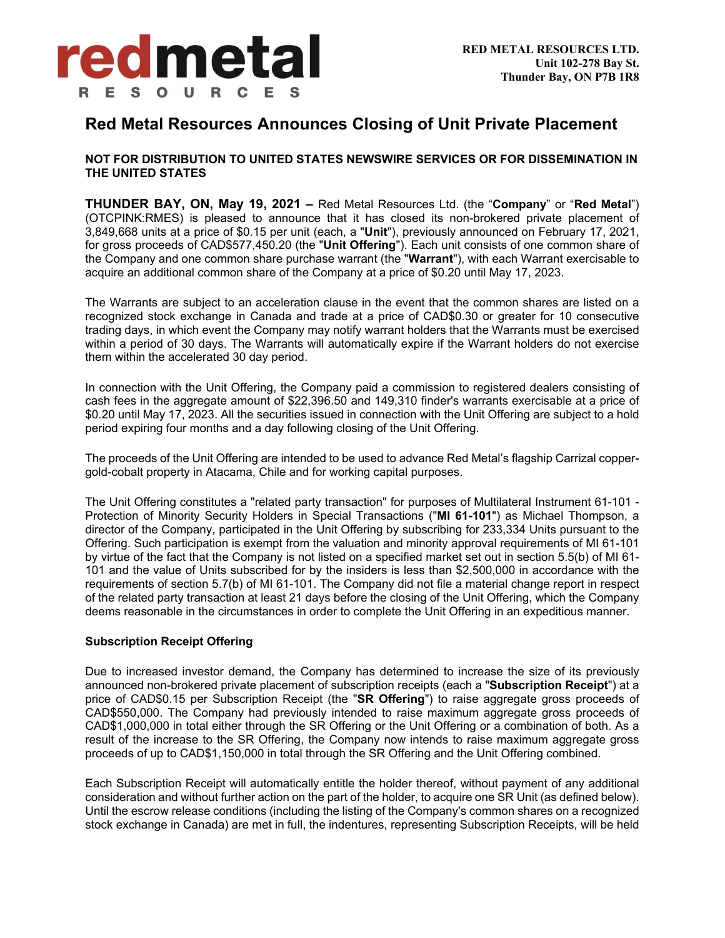

# **Red Metal Resources Announces Closing of Unit Private Placement**

## **NOT FOR DISTRIBUTION TO UNITED STATES NEWSWIRE SERVICES OR FOR DISSEMINATION IN THE UNITED STATES**

**THUNDER BAY, ON, May 19, 2021 –** Red Metal Resources Ltd. (the "**Company**" or "**Red Metal**") (OTCPINK:RMES) is pleased to announce that it has closed its non-brokered private placement of 3,849,668 units at a price of \$0.15 per unit (each, a "**Unit**"), previously announced on February 17, 2021, for gross proceeds of CAD\$577,450.20 (the "**Unit Offering**"). Each unit consists of one common share of the Company and one common share purchase warrant (the "**Warrant**"), with each Warrant exercisable to acquire an additional common share of the Company at a price of \$0.20 until May 17, 2023.

The Warrants are subject to an acceleration clause in the event that the common shares are listed on a recognized stock exchange in Canada and trade at a price of CAD\$0.30 or greater for 10 consecutive trading days, in which event the Company may notify warrant holders that the Warrants must be exercised within a period of 30 days. The Warrants will automatically expire if the Warrant holders do not exercise them within the accelerated 30 day period.

In connection with the Unit Offering, the Company paid a commission to registered dealers consisting of cash fees in the aggregate amount of \$22,396.50 and 149,310 finder's warrants exercisable at a price of \$0.20 until May 17, 2023. All the securities issued in connection with the Unit Offering are subject to a hold period expiring four months and a day following closing of the Unit Offering.

The proceeds of the Unit Offering are intended to be used to advance Red Metal's flagship Carrizal coppergold-cobalt property in Atacama, Chile and for working capital purposes.

The Unit Offering constitutes a "related party transaction" for purposes of Multilateral Instrument 61-101 - Protection of Minority Security Holders in Special Transactions ("**MI 61-101**") as Michael Thompson, a director of the Company, participated in the Unit Offering by subscribing for 233,334 Units pursuant to the Offering. Such participation is exempt from the valuation and minority approval requirements of MI 61-101 by virtue of the fact that the Company is not listed on a specified market set out in section 5.5(b) of MI 61- 101 and the value of Units subscribed for by the insiders is less than \$2,500,000 in accordance with the requirements of section 5.7(b) of MI 61-101. The Company did not file a material change report in respect of the related party transaction at least 21 days before the closing of the Unit Offering, which the Company deems reasonable in the circumstances in order to complete the Unit Offering in an expeditious manner.

## **Subscription Receipt Offering**

Due to increased investor demand, the Company has determined to increase the size of its previously announced non-brokered private placement of subscription receipts (each a "**Subscription Receipt**") at a price of CAD\$0.15 per Subscription Receipt (the "**SR Offering**") to raise aggregate gross proceeds of CAD\$550,000. The Company had previously intended to raise maximum aggregate gross proceeds of CAD\$1,000,000 in total either through the SR Offering or the Unit Offering or a combination of both. As a result of the increase to the SR Offering, the Company now intends to raise maximum aggregate gross proceeds of up to CAD\$1,150,000 in total through the SR Offering and the Unit Offering combined.

Each Subscription Receipt will automatically entitle the holder thereof, without payment of any additional consideration and without further action on the part of the holder, to acquire one SR Unit (as defined below). Until the escrow release conditions (including the listing of the Company's common shares on a recognized stock exchange in Canada) are met in full, the indentures, representing Subscription Receipts, will be held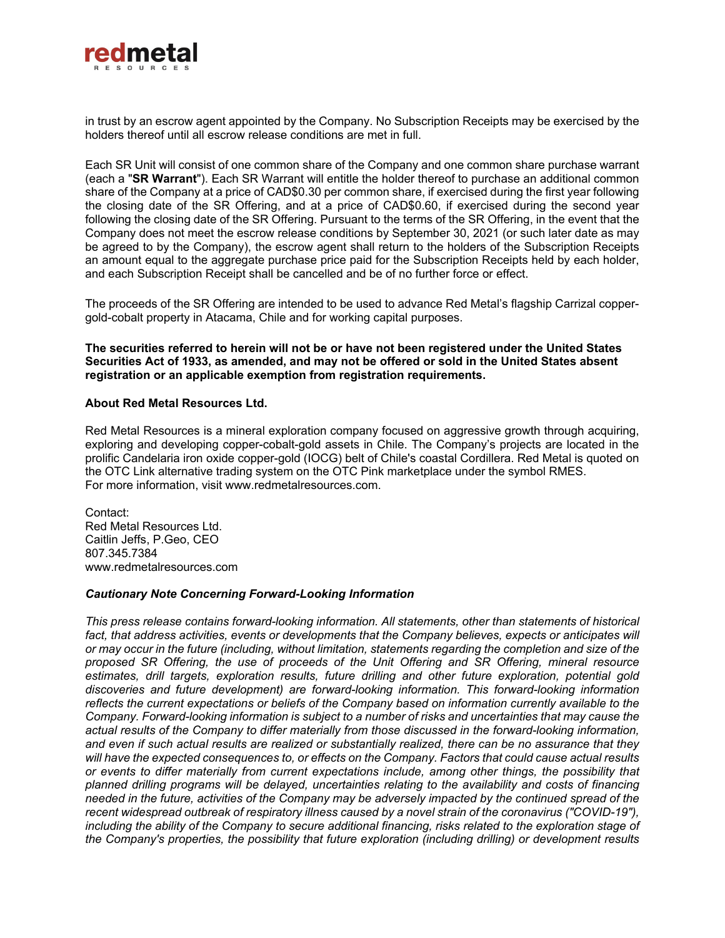

in trust by an escrow agent appointed by the Company. No Subscription Receipts may be exercised by the holders thereof until all escrow release conditions are met in full.

Each SR Unit will consist of one common share of the Company and one common share purchase warrant (each a "**SR Warrant**"). Each SR Warrant will entitle the holder thereof to purchase an additional common share of the Company at a price of CAD\$0.30 per common share, if exercised during the first year following the closing date of the SR Offering, and at a price of CAD\$0.60, if exercised during the second year following the closing date of the SR Offering. Pursuant to the terms of the SR Offering, in the event that the Company does not meet the escrow release conditions by September 30, 2021 (or such later date as may be agreed to by the Company), the escrow agent shall return to the holders of the Subscription Receipts an amount equal to the aggregate purchase price paid for the Subscription Receipts held by each holder, and each Subscription Receipt shall be cancelled and be of no further force or effect.

The proceeds of the SR Offering are intended to be used to advance Red Metal's flagship Carrizal coppergold-cobalt property in Atacama, Chile and for working capital purposes.

### **The securities referred to herein will not be or have not been registered under the United States Securities Act of 1933, as amended, and may not be offered or sold in the United States absent registration or an applicable exemption from registration requirements.**

#### **About Red Metal Resources Ltd.**

Red Metal Resources is a mineral exploration company focused on aggressive growth through acquiring, exploring and developing copper-cobalt-gold assets in Chile. The Company's projects are located in the prolific Candelaria iron oxide copper-gold (IOCG) belt of Chile's coastal Cordillera. Red Metal is quoted on the OTC Link alternative trading system on the OTC Pink marketplace under the symbol RMES. For more information, visit www.redmetalresources.com.

Contact: Red Metal Resources Ltd. Caitlin Jeffs, P.Geo, CEO 807.345.7384 www.redmetalresources.com

#### *Cautionary Note Concerning Forward-Looking Information*

*This press release contains forward-looking information. All statements, other than statements of historical*  fact, that address activities, events or developments that the Company believes, expects or anticipates will *or may occur in the future (including, without limitation, statements regarding the completion and size of the proposed SR Offering, the use of proceeds of the Unit Offering and SR Offering, mineral resource estimates, drill targets, exploration results, future drilling and other future exploration, potential gold discoveries and future development) are forward-looking information. This forward-looking information reflects the current expectations or beliefs of the Company based on information currently available to the Company. Forward-looking information is subject to a number of risks and uncertainties that may cause the actual results of the Company to differ materially from those discussed in the forward-looking information, and even if such actual results are realized or substantially realized, there can be no assurance that they will have the expected consequences to, or effects on the Company. Factors that could cause actual results or events to differ materially from current expectations include, among other things, the possibility that planned drilling programs will be delayed, uncertainties relating to the availability and costs of financing needed in the future, activities of the Company may be adversely impacted by the continued spread of the recent widespread outbreak of respiratory illness caused by a novel strain of the coronavirus ("COVID-19"),*  including the ability of the Company to secure additional financing, risks related to the exploration stage of *the Company's properties, the possibility that future exploration (including drilling) or development results*